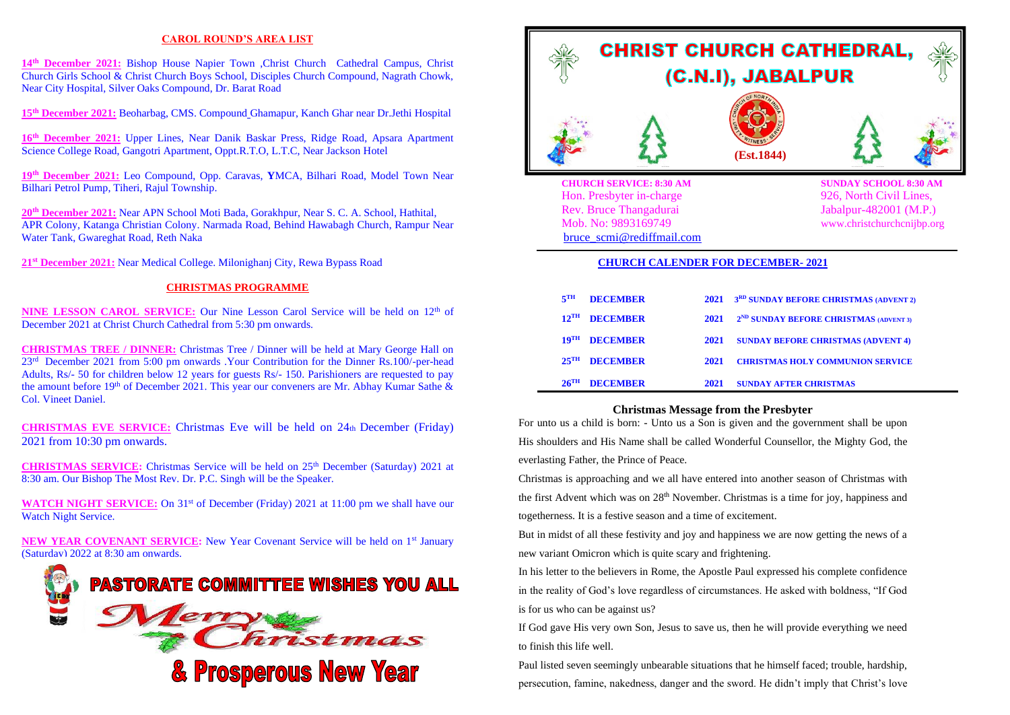## **CAROL ROUND'S AREA LIST**

14<sup>th</sup> December 2021: Bishop House Napier Town ,Christ Church Cathedral Campus, Christ Church Girls School & Christ Church Boys School, Disciples Church Compound, Nagrath Chowk, Near City Hospital, Silver Oaks Compound, Dr. Barat Road

**15 th December 2021:** Beoharbag, CMS. Compound Ghamapur, Kanch Ghar near Dr.Jethi Hospital

**16 th December 2021:** Upper Lines, Near Danik Baskar Press, Ridge Road, Apsara Apartment Science College Road, Gangotri Apartment, Oppt.R.T.O, L.T.C, Near Jackson Hotel

**19 th December 2021:** Leo Compound, Opp. Caravas, **Y**MCA, Bilhari Road, Model Town Near Bilhari Petrol Pump, Tiheri, Rajul Township.

**20th December 2021:** Near APN School Moti Bada, Gorakhpur, Near S. C. A. School, Hathital, APR Colony, Katanga Christian Colony. Narmada Road, Behind Hawabagh Church, Rampur Near Water Tank, Gwareghat Road, Reth Naka

**21 st December 2021:** Near Medical College. Milonighanj City, Rewa Bypass Road

### **CHRISTMAS PROGRAMME**

**NINE LESSON CAROL SERVICE:** Our Nine Lesson Carol Service will be held on 12<sup>th</sup> of December 2021 at Christ Church Cathedral from 5:30 pm onwards.

**CHRISTMAS TREE / DINNER:** Christmas Tree / Dinner will be held at Mary George Hall on 23rd December 2021 from 5:00 pm onwards .Your Contribution for the Dinner Rs.100/-per-head Adults, Rs/- 50 for children below 12 years for guests Rs/- 150. Parishioners are requested to pay the amount before 19<sup>th</sup> of December 2021. This year our conveners are Mr. Abhay Kumar Sathe & Col. Vineet Daniel.

**CHRISTMAS EVE SERVICE:** Christmas Eve will be held on 24th December (Friday) 2021 from 10:30 pm onwards.

CHRISTMAS SERVICE: Christmas Service will be held on 25<sup>th</sup> December (Saturday) 2021 at 8:30 am. Our Bishop The Most Rev. Dr. P.C. Singh will be the Speaker.

**WATCH NIGHT SERVICE:** On 31<sup>st</sup> of December (Friday) 2021 at 11:00 pm we shall have our Watch Night Service.

**NEW YEAR COVENANT SERVICE:** New Year Covenant Service will be held on 1<sup>st</sup> January (Saturday) 2022 at 8:30 am onwards.





Hon. Presbyter in-charge 926, North Civil Lines, Rev. Bruce Thangadurai Jabalpur-482001 (M.P.) Mob. No: 9893169749 www.christchurchcnijbp.org [bruce\\_scmi@rediffmail.com](mailto:bruce_scmi@rediffmail.com)

#### **CHURCH CALENDER FOR DECEMBER- 2021**

| 5 <sup>TH</sup>    | <b>DECEMBER</b> |      | 2021 3 <sup>RD</sup> SUNDAY BEFORE CHRISTMAS (ADVENT 2) |
|--------------------|-----------------|------|---------------------------------------------------------|
| $12^{\text{TH}}$   | <b>DECEMBER</b> | 2021 | 2 <sup>ND</sup> SUNDAY BEFORE CHRISTMAS (ADVENT 3)      |
| $19^{\text{TH}}$   | <b>DECEMBER</b> | 2021 | <b>SUNDAY BEFORE CHRISTMAS (ADVENT 4)</b>               |
| $25^{\text{TH}}$   | <b>DECEMBER</b> | 2021 | <b>CHRISTMAS HOLY COMMUNION SERVICE</b>                 |
| $26$ <sup>TH</sup> | <b>DECEMBER</b> | 2021 | <b>SUNDAY AFTER CHRISTMAS</b>                           |

#### **Christmas Message from the Presbyter**

For unto us a child is born: - Unto us a Son is given and the government shall be upon His shoulders and His Name shall be called Wonderful Counsellor, the Mighty God, the everlasting Father, the Prince of Peace.

Christmas is approaching and we all have entered into another season of Christmas with the first Advent which was on 28<sup>th</sup> November. Christmas is a time for joy, happiness and togetherness. It is a festive season and a time of excitement.

But in midst of all these festivity and joy and happiness we are now getting the news of a new variant Omicron which is quite scary and frightening.

In his letter to the believers in Rome, the Apostle Paul expressed his complete confidence in the reality of God's love regardless of circumstances. He asked with boldness, "If God is for us who can be against us?

If God gave His very own Son, Jesus to save us, then he will provide everything we need to finish this life well.

Paul listed seven seemingly unbearable situations that he himself faced; trouble, hardship, persecution, famine, nakedness, danger and the sword. He didn't imply that Christ's love